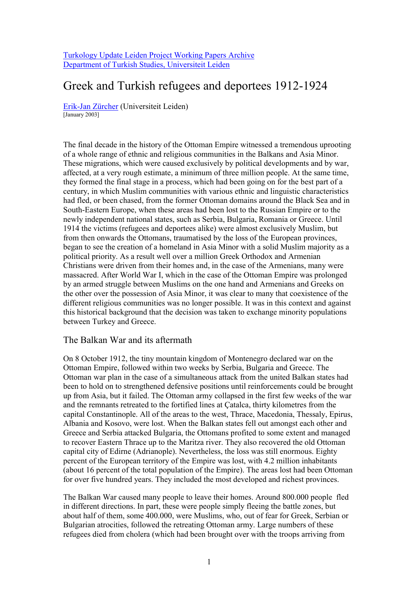[Turkology Update Leiden Project Working Papers Archive](http://tulp.leidenuniv.nl/) [Department of Turkish Studies, Universiteit Leiden](http://tulp.leidenuniv.nl/)

# Greek and Turkish refugees and deportees 1912-1924

Erik-Jan Zürcher (Universiteit Leiden) [January 2003]

The final decade in the history of the Ottoman Empire witnessed a tremendous uprooting of a whole range of ethnic and religious communities in the Balkans and Asia Minor. These migrations, which were caused exclusively by political developments and by war, affected, at a very rough estimate, a minimum of three million people. At the same time, they formed the final stage in a process, which had been going on for the best part of a century, in which Muslim communities with various ethnic and linguistic characteristics had fled, or been chased, from the former Ottoman domains around the Black Sea and in South-Eastern Europe, when these areas had been lost to the Russian Empire or to the newly independent national states, such as Serbia, Bulgaria, Romania or Greece. Until 1914 the victims (refugees and deportees alike) were almost exclusively Muslim, but from then onwards the Ottomans, traumatised by the loss of the European provinces, began to see the creation of a homeland in Asia Minor with a solid Muslim majority as a political priority. As a result well over a million Greek Orthodox and Armenian Christians were driven from their homes and, in the case of the Armenians, many were massacred. After World War I, which in the case of the Ottoman Empire was prolonged by an armed struggle between Muslims on the one hand and Armenians and Greeks on the other over the possession of Asia Minor, it was clear to many that coexistence of the different religious communities was no longer possible. It was in this context and against this historical background that the decision was taken to exchange minority populations between Turkey and Greece.

## The Balkan War and its aftermath

On 8 October 1912, the tiny mountain kingdom of Montenegro declared war on the Ottoman Empire, followed within two weeks by Serbia, Bulgaria and Greece. The Ottoman war plan in the case of a simultaneous attack from the united Balkan states had been to hold on to strengthened defensive positions until reinforcements could be brought up from Asia, but it failed. The Ottoman army collapsed in the first few weeks of the war and the remnants retreated to the fortified lines at Çatalca, thirty kilometres from the capital Constantinople. All of the areas to the west, Thrace, Macedonia, Thessaly, Epirus, Albania and Kosovo, were lost. When the Balkan states fell out amongst each other and Greece and Serbia attacked Bulgaria, the Ottomans profited to some extent and managed to recover Eastern Thrace up to the Maritza river. They also recovered the old Ottoman capital city of Edirne (Adrianople). Nevertheless, the loss was still enormous. Eighty percent of the European territory of the Empire was lost, with 4.2 million inhabitants (about 16 percent of the total population of the Empire). The areas lost had been Ottoman for over five hundred years. They included the most developed and richest provinces.

The Balkan War caused many people to leave their homes. Around 800.000 people fled in different directions. In part, these were people simply fleeing the battle zones, but about half of them, some 400.000, were Muslims, who, out of fear for Greek, Serbian or Bulgarian atrocities, followed the retreating Ottoman army. Large numbers of these refugees died from cholera (which had been brought over with the troops arriving from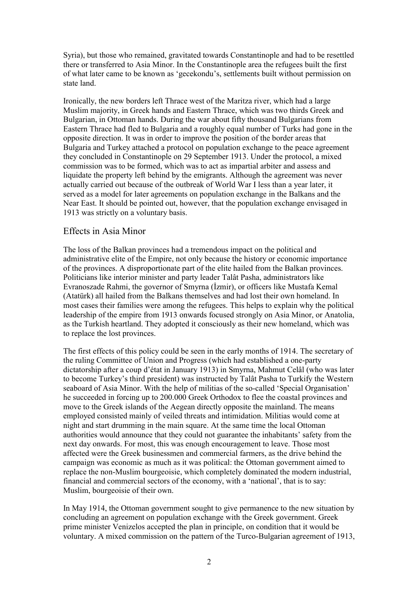Syria), but those who remained, gravitated towards Constantinople and had to be resettled there or transferred to Asia Minor. In the Constantinople area the refugees built the first of what later came to be known as 'gecekondu's, settlements built without permission on state land.

Ironically, the new borders left Thrace west of the Maritza river, which had a large Muslim majority, in Greek hands and Eastern Thrace, which was two thirds Greek and Bulgarian, in Ottoman hands. During the war about fifty thousand Bulgarians from Eastern Thrace had fled to Bulgaria and a roughly equal number of Turks had gone in the opposite direction. It was in order to improve the position of the border areas that Bulgaria and Turkey attached a protocol on population exchange to the peace agreement they concluded in Constantinople on 29 September 1913. Under the protocol, a mixed commission was to be formed, which was to act as impartial arbiter and assess and liquidate the property left behind by the emigrants. Although the agreement was never actually carried out because of the outbreak of World War I less than a year later, it served as a model for later agreements on population exchange in the Balkans and the Near East. It should be pointed out, however, that the population exchange envisaged in 1913 was strictly on a voluntary basis.

## Effects in Asia Minor

The loss of the Balkan provinces had a tremendous impact on the political and administrative elite of the Empire, not only because the history or economic importance of the provinces. A disproportionate part of the elite hailed from the Balkan provinces. Politicians like interior minister and party leader Talât Pasha, administrators like Evranoszade Rahmi, the governor of Smyrna (İzmir), or officers like Mustafa Kemal (Atatürk) all hailed from the Balkans themselves and had lost their own homeland. In most cases their families were among the refugees. This helps to explain why the political leadership of the empire from 1913 onwards focused strongly on Asia Minor, or Anatolia, as the Turkish heartland. They adopted it consciously as their new homeland, which was to replace the lost provinces.

The first effects of this policy could be seen in the early months of 1914. The secretary of the ruling Committee of Union and Progress (which had established a one-party dictatorship after a coup d'état in January 1913) in Smyrna, Mahmut Celâl (who was later to become Turkey's third president) was instructed by Talât Pasha to Turkify the Western seaboard of Asia Minor. With the help of militias of the so-called 'Special Organisation' he succeeded in forcing up to 200.000 Greek Orthodox to flee the coastal provinces and move to the Greek islands of the Aegean directly opposite the mainland. The means employed consisted mainly of veiled threats and intimidation. Militias would come at night and start drumming in the main square. At the same time the local Ottoman authorities would announce that they could not guarantee the inhabitants' safety from the next day onwards. For most, this was enough encouragement to leave. Those most affected were the Greek businessmen and commercial farmers, as the drive behind the campaign was economic as much as it was political: the Ottoman government aimed to replace the non-Muslim bourgeoisie, which completely dominated the modern industrial, financial and commercial sectors of the economy, with a 'national', that is to say: Muslim, bourgeoisie of their own.

In May 1914, the Ottoman government sought to give permanence to the new situation by concluding an agreement on population exchange with the Greek government. Greek prime minister Venizelos accepted the plan in principle, on condition that it would be voluntary. A mixed commission on the pattern of the Turco-Bulgarian agreement of 1913,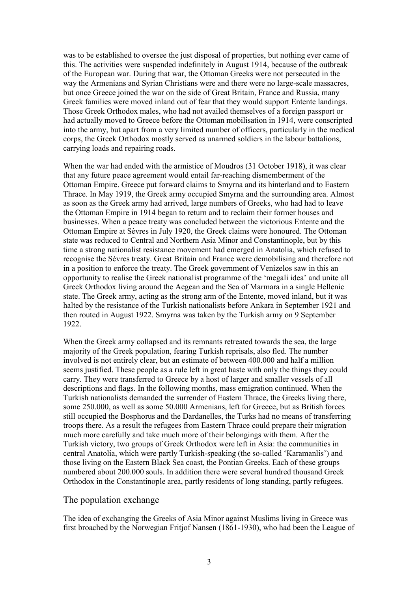was to be established to oversee the just disposal of properties, but nothing ever came of this. The activities were suspended indefinitely in August 1914, because of the outbreak of the European war. During that war, the Ottoman Greeks were not persecuted in the way the Armenians and Syrian Christians were and there were no large-scale massacres, but once Greece joined the war on the side of Great Britain, France and Russia, many Greek families were moved inland out of fear that they would support Entente landings. Those Greek Orthodox males, who had not availed themselves of a foreign passport or had actually moved to Greece before the Ottoman mobilisation in 1914, were conscripted into the army, but apart from a very limited number of officers, particularly in the medical corps, the Greek Orthodox mostly served as unarmed soldiers in the labour battalions, carrying loads and repairing roads.

When the war had ended with the armistice of Moudros (31 October 1918), it was clear that any future peace agreement would entail far-reaching dismemberment of the Ottoman Empire. Greece put forward claims to Smyrna and its hinterland and to Eastern Thrace. In May 1919, the Greek army occupied Smyrna and the surrounding area. Almost as soon as the Greek army had arrived, large numbers of Greeks, who had had to leave the Ottoman Empire in 1914 began to return and to reclaim their former houses and businesses. When a peace treaty was concluded between the victorious Entente and the Ottoman Empire at Sèvres in July 1920, the Greek claims were honoured. The Ottoman state was reduced to Central and Northern Asia Minor and Constantinople, but by this time a strong nationalist resistance movement had emerged in Anatolia, which refused to recognise the Sèvres treaty. Great Britain and France were demobilising and therefore not in a position to enforce the treaty. The Greek government of Venizelos saw in this an opportunity to realise the Greek nationalist programme of the 'megali idea' and unite all Greek Orthodox living around the Aegean and the Sea of Marmara in a single Hellenic state. The Greek army, acting as the strong arm of the Entente, moved inland, but it was halted by the resistance of the Turkish nationalists before Ankara in September 1921 and then routed in August 1922. Smyrna was taken by the Turkish army on 9 September 1922.

When the Greek army collapsed and its remnants retreated towards the sea, the large majority of the Greek population, fearing Turkish reprisals, also fled. The number involved is not entirely clear, but an estimate of between 400.000 and half a million seems justified. These people as a rule left in great haste with only the things they could carry. They were transferred to Greece by a host of larger and smaller vessels of all descriptions and flags. In the following months, mass emigration continued. When the Turkish nationalists demanded the surrender of Eastern Thrace, the Greeks living there, some 250.000, as well as some 50.000 Armenians, left for Greece, but as British forces still occupied the Bosphorus and the Dardanelles, the Turks had no means of transferring troops there. As a result the refugees from Eastern Thrace could prepare their migration much more carefully and take much more of their belongings with them. After the Turkish victory, two groups of Greek Orthodox were left in Asia: the communities in central Anatolia, which were partly Turkish-speaking (the so-called 'Karamanlis') and those living on the Eastern Black Sea coast, the Pontian Greeks. Each of these groups numbered about 200.000 souls. In addition there were several hundred thousand Greek Orthodox in the Constantinople area, partly residents of long standing, partly refugees.

## The population exchange

The idea of exchanging the Greeks of Asia Minor against Muslims living in Greece was first broached by the Norwegian Fritjof Nansen (1861-1930), who had been the League of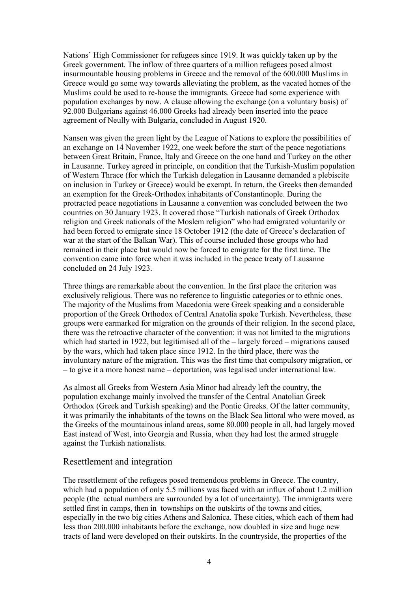Nations' High Commissioner for refugees since 1919. It was quickly taken up by the Greek government. The inflow of three quarters of a million refugees posed almost insurmountable housing problems in Greece and the removal of the 600.000 Muslims in Greece would go some way towards alleviating the problem, as the vacated homes of the Muslims could be used to re-house the immigrants. Greece had some experience with population exchanges by now. A clause allowing the exchange (on a voluntary basis) of 92.000 Bulgarians against 46.000 Greeks had already been inserted into the peace agreement of Neully with Bulgaria, concluded in August 1920.

Nansen was given the green light by the League of Nations to explore the possibilities of an exchange on 14 November 1922, one week before the start of the peace negotiations between Great Britain, France, Italy and Greece on the one hand and Turkey on the other in Lausanne. Turkey agreed in principle, on condition that the Turkish-Muslim population of Western Thrace (for which the Turkish delegation in Lausanne demanded a plebiscite on inclusion in Turkey or Greece) would be exempt. In return, the Greeks then demanded an exemption for the Greek-Orthodox inhabitants of Constantinople. During the protracted peace negotiations in Lausanne a convention was concluded between the two countries on 30 January 1923. It covered those "Turkish nationals of Greek Orthodox religion and Greek nationals of the Moslem religion" who had emigrated voluntarily or had been forced to emigrate since 18 October 1912 (the date of Greece's declaration of war at the start of the Balkan War). This of course included those groups who had remained in their place but would now be forced to emigrate for the first time. The convention came into force when it was included in the peace treaty of Lausanne concluded on 24 July 1923.

Three things are remarkable about the convention. In the first place the criterion was exclusively religious. There was no reference to linguistic categories or to ethnic ones. The majority of the Muslims from Macedonia were Greek speaking and a considerable proportion of the Greek Orthodox of Central Anatolia spoke Turkish. Nevertheless, these groups were earmarked for migration on the grounds of their religion. In the second place, there was the retroactive character of the convention: it was not limited to the migrations which had started in 1922, but legitimised all of the – largely forced – migrations caused by the wars, which had taken place since 1912. In the third place, there was the involuntary nature of the migration. This was the first time that compulsory migration, or – to give it a more honest name – deportation, was legalised under international law.

As almost all Greeks from Western Asia Minor had already left the country, the population exchange mainly involved the transfer of the Central Anatolian Greek Orthodox (Greek and Turkish speaking) and the Pontic Greeks. Of the latter community, it was primarily the inhabitants of the towns on the Black Sea littoral who were moved, as the Greeks of the mountainous inland areas, some 80.000 people in all, had largely moved East instead of West, into Georgia and Russia, when they had lost the armed struggle against the Turkish nationalists.

## Resettlement and integration

The resettlement of the refugees posed tremendous problems in Greece. The country, which had a population of only 5.5 millions was faced with an influx of about 1.2 million people (the actual numbers are surrounded by a lot of uncertainty). The immigrants were settled first in camps, then in townships on the outskirts of the towns and cities, especially in the two big cities Athens and Salonica. These cities, which each of them had less than 200.000 inhabitants before the exchange, now doubled in size and huge new tracts of land were developed on their outskirts. In the countryside, the properties of the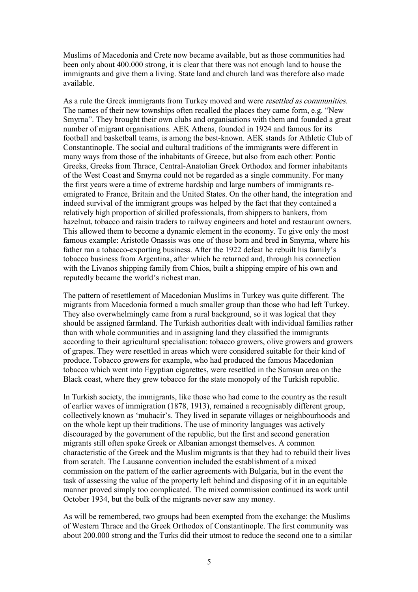Muslims of Macedonia and Crete now became available, but as those communities had been only about 400.000 strong, it is clear that there was not enough land to house the immigrants and give them a living. State land and church land was therefore also made available.

As a rule the Greek immigrants from Turkey moved and were resettled as communities. The names of their new townships often recalled the places they came form, e.g. "New Smyrna". They brought their own clubs and organisations with them and founded a great number of migrant organisations. AEK Athens, founded in 1924 and famous for its football and basketball teams, is among the best-known. AEK stands for Athletic Club of Constantinople. The social and cultural traditions of the immigrants were different in many ways from those of the inhabitants of Greece, but also from each other: Pontic Greeks, Greeks from Thrace, Central-Anatolian Greek Orthodox and former inhabitants of the West Coast and Smyrna could not be regarded as a single community. For many the first years were a time of extreme hardship and large numbers of immigrants reemigrated to France, Britain and the United States. On the other hand, the integration and indeed survival of the immigrant groups was helped by the fact that they contained a relatively high proportion of skilled professionals, from shippers to bankers, from hazelnut, tobacco and raisin traders to railway engineers and hotel and restaurant owners. This allowed them to become a dynamic element in the economy. To give only the most famous example: Aristotle Onassis was one of those born and bred in Smyrna, where his father ran a tobacco-exporting business. After the 1922 defeat he rebuilt his family's tobacco business from Argentina, after which he returned and, through his connection with the Livanos shipping family from Chios, built a shipping empire of his own and reputedly became the world's richest man.

The pattern of resettlement of Macedonian Muslims in Turkey was quite different. The migrants from Macedonia formed a much smaller group than those who had left Turkey. They also overwhelmingly came from a rural background, so it was logical that they should be assigned farmland. The Turkish authorities dealt with individual families rather than with whole communities and in assigning land they classified the immigrants according to their agricultural specialisation: tobacco growers, olive growers and growers of grapes. They were resettled in areas which were considered suitable for their kind of produce. Tobacco growers for example, who had produced the famous Macedonian tobacco which went into Egyptian cigarettes, were resettled in the Samsun area on the Black coast, where they grew tobacco for the state monopoly of the Turkish republic.

In Turkish society, the immigrants, like those who had come to the country as the result of earlier waves of immigration (1878, 1913), remained a recognisably different group, collectively known as 'muhacir's. They lived in separate villages or neighbourhoods and on the whole kept up their traditions. The use of minority languages was actively discouraged by the government of the republic, but the first and second generation migrants still often spoke Greek or Albanian amongst themselves. A common characteristic of the Greek and the Muslim migrants is that they had to rebuild their lives from scratch. The Lausanne convention included the establishment of a mixed commission on the pattern of the earlier agreements with Bulgaria, but in the event the task of assessing the value of the property left behind and disposing of it in an equitable manner proved simply too complicated. The mixed commission continued its work until October 1934, but the bulk of the migrants never saw any money.

As will be remembered, two groups had been exempted from the exchange: the Muslims of Western Thrace and the Greek Orthodox of Constantinople. The first community was about 200.000 strong and the Turks did their utmost to reduce the second one to a similar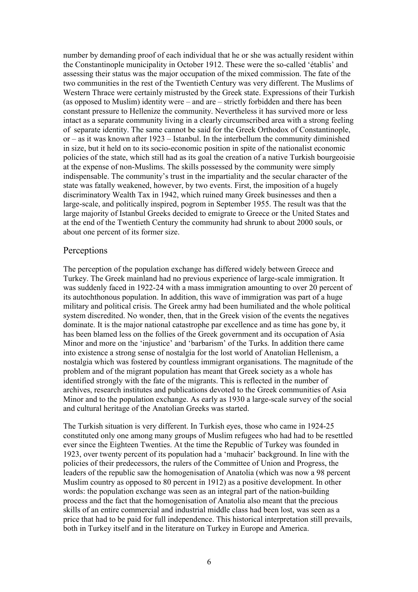number by demanding proof of each individual that he or she was actually resident within the Constantinople municipality in October 1912. These were the so-called 'établis' and assessing their status was the major occupation of the mixed commission. The fate of the two communities in the rest of the Twentieth Century was very different. The Muslims of Western Thrace were certainly mistrusted by the Greek state. Expressions of their Turkish (as opposed to Muslim) identity were – and are – strictly forbidden and there has been constant pressure to Hellenize the community. Nevertheless it has survived more or less intact as a separate community living in a clearly circumscribed area with a strong feeling of separate identity. The same cannot be said for the Greek Orthodox of Constantinople, or – as it was known after 1923 – Istanbul. In the interbellum the community diminished in size, but it held on to its socio-economic position in spite of the nationalist economic policies of the state, which still had as its goal the creation of a native Turkish bourgeoisie at the expense of non-Muslims. The skills possessed by the community were simply indispensable. The community's trust in the impartiality and the secular character of the state was fatally weakened, however, by two events. First, the imposition of a hugely discriminatory Wealth Tax in 1942, which ruined many Greek businesses and then a large-scale, and politically inspired, pogrom in September 1955. The result was that the large majority of Istanbul Greeks decided to emigrate to Greece or the United States and at the end of the Twentieth Century the community had shrunk to about 2000 souls, or about one percent of its former size.

#### **Perceptions**

The perception of the population exchange has differed widely between Greece and Turkey. The Greek mainland had no previous experience of large-scale immigration. It was suddenly faced in 1922-24 with a mass immigration amounting to over 20 percent of its autochthonous population. In addition, this wave of immigration was part of a huge military and political crisis. The Greek army had been humiliated and the whole political system discredited. No wonder, then, that in the Greek vision of the events the negatives dominate. It is the major national catastrophe par excellence and as time has gone by, it has been blamed less on the follies of the Greek government and its occupation of Asia Minor and more on the 'injustice' and 'barbarism' of the Turks. In addition there came into existence a strong sense of nostalgia for the lost world of Anatolian Hellenism, a nostalgia which was fostered by countless immigrant organisations. The magnitude of the problem and of the migrant population has meant that Greek society as a whole has identified strongly with the fate of the migrants. This is reflected in the number of archives, research institutes and publications devoted to the Greek communities of Asia Minor and to the population exchange. As early as 1930 a large-scale survey of the social and cultural heritage of the Anatolian Greeks was started.

The Turkish situation is very different. In Turkish eyes, those who came in 1924-25 constituted only one among many groups of Muslim refugees who had had to be resettled ever since the Eighteen Twenties. At the time the Republic of Turkey was founded in 1923, over twenty percent of its population had a 'muhacir' background. In line with the policies of their predecessors, the rulers of the Committee of Union and Progress, the leaders of the republic saw the homogenisation of Anatolia (which was now a 98 percent Muslim country as opposed to 80 percent in 1912) as a positive development. In other words: the population exchange was seen as an integral part of the nation-building process and the fact that the homogenisation of Anatolia also meant that the precious skills of an entire commercial and industrial middle class had been lost, was seen as a price that had to be paid for full independence. This historical interpretation still prevails, both in Turkey itself and in the literature on Turkey in Europe and America.